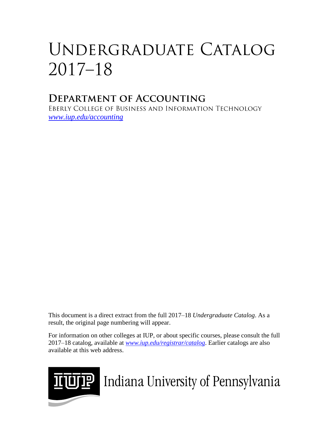# UNDERGRADUATE CATALOG  $2017 - 18$

## **DEPARTMENT OF ACCOUNTING**

EBERLY COLLEGE OF BUSINESS AND INFORMATION TECHNOLOGY *[www.iup.edu/accounting](http://www.iup.edu/accounting)*

This document is a direct extract from the full 2017–18 *Undergraduate Catalog*. As a result, the original page numbering will appear.

For information on other colleges at IUP, or about specific courses, please consult the full 2017–18 catalog, available at *www.iup.edu/registrar/catalog*. Earlier catalogs are also available at this web address.



**THE** Indiana University of Pennsylvania